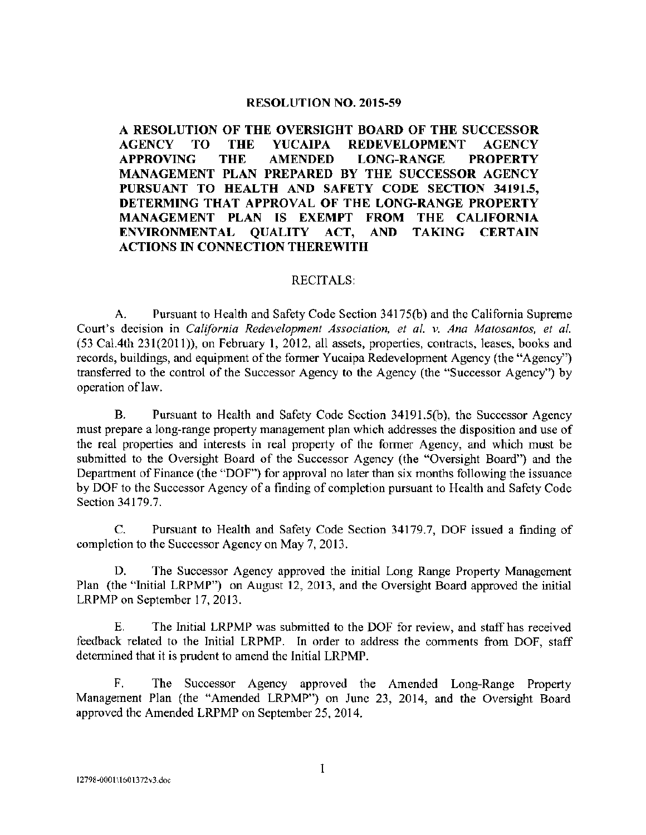### RESOLUTION NO. 2015-59

A RESOLUTION OF THE OVERSIGHT BOARD OF THE SUCCESSOR AGENCY TO THE YUCAIPA REDEVELOPMENT AGENCY APPROVING THE AMENDED LONG-RANGE PROPERTY MANAGEMENT PLAN PREPARED BY THE SUCCESSOR AGENCY PURSUANT TO HEALTH AND SAFETY CODE SECTION 34191.5. DETERMING THAT APPROVAL OF THE LONG-RANGE PROPERTY MANAGEMENT PLAN IS EXEMPT FROM THE CALIFORNIA ENVIRONMENTAL QUALITY ACT, AND TAKING CERTAIN ACTIONS IN CONNECTION THEREWITH

### RECITALS:

A. Pursuant to Health and Safety Code Section 34175(b) and the California Supreme Court's decision in California Redevelopment Association, et al. v. Ana Matosantos, et al. 53 Ca1. 4th 231( 2011)), on February 1, 2012, all assets, properties, contracts, leases, books and records, buildings, and equipment of the former Yucaipa Redevelopment Agency (the "Agency") transferred to the control of the Successor Agency to the Agency (the "Successor Agency") by operation of law.

B. Pursuant to Health and Safety Code Section 34191.5(b), the Successor Agency must prepare <sup>a</sup> long-range property management plan which addresses the disposition and use of the real properties and interests in real property of the former Agency, and which must be submitted to the Oversight Board of the Successor Agency (the "Oversight Board") and the Department of Finance (the "DOF") for approval no later than six months following the issuance by DOF to the Successor Agency of <sup>a</sup> finding of completion pursuant to Health and Safety Code Section 34179.7.

C. Pursuant to Health and Safety Code Section 34179. 7, DOF issued <sup>a</sup> finding of completion to the Successor Agency on May 7, 2013.

D. The Successor Agency approved the initial Long Range Property Management Plan (the "Initial LRPMP") on August 12, 2013, and the Oversight Board approved the initial LRPMP on September 17, 2013.

E. The Initial LRPMP was submitted to the DOF for review, and staff has received feedback related to the Initial LRPMP. In order to address the comments from DOF, staff determined that it is prudent to amend the Initial LRPMP.

F. The Successor Agency approved the Amended Long-Range Property Management Plan (the "Amended LRPMP") on June 23, 2014, and the Oversight Board approved the Amended LRPMP on September 25, 2014.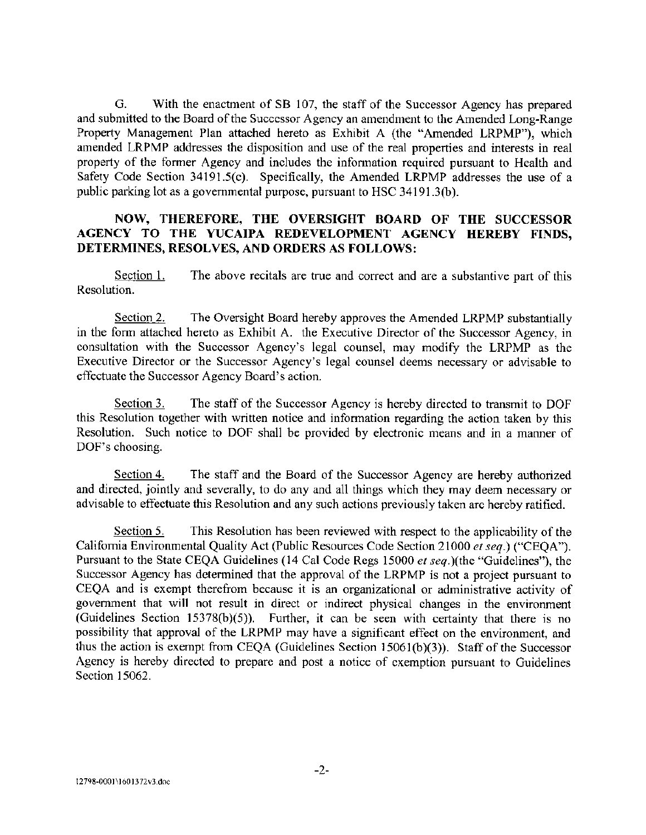G. With the enactment of SB 107, the staff of the Successor Agency has prepared and submitted to the Board of the Successor Agency an amendment to the Amended Long-Range Property Management Plan attached hereto as Exhibit A (the "Amended LRPMP"), which amended LRPMP addresses the disposition and use of the real properties and interests in real property of the former Agency and includes the information required pursuant to Health and Safety Code Section  $34191.5(c)$ . Specifically, the Amended LRPMP addresses the use of a public parking lot as a governmental purpose, pursuant to HSC 34191.3(b).

## NOW, THEREFORE, THE OVERSIGHT BOARD OF THE SUCCESSOR AGENCY TO THE YUCAIPA REDEVELOPMENT AGENCY HEREBY FINDS, DETERMINES, RESOLVES, AND ORDERS AS FOLLOWS:

Section 1. The above recitals are true and correct and are <sup>a</sup> substantive part of this Resolution.

Section 2. The Oversight Board hereby approves the Amended LRPMP substantially in the form attached hereto as Exhibit A. the Executive Director of the Successor Agency, in consultation with the Successor Agency's legal counsel, may modify the LRPMP as the Executive Director or the Successor Agency's legal counsel deems necessary or advisable to effectuate the Successor Agency Board's action.

Section 3. The staff of the Successor Agency is hereby directed to transmit to DOF this Resolution together with written notice and information regarding the action taken by this Resolution. Such notice to DOF shall be provided by electronic means and in <sup>a</sup> manner of DOF's choosing.

Section 4. The staff and the Board of the Successor Agency are hereby authorized and directed, jointly and severally, to do any and all things which they may deem necessary or advisable to effectuate this Resolution and any such actions previously taken arc hereby ratified.

Section 5. This Resolution has been reviewed with respect to the applicability of the California Environmental Quality Act (Public Resources Code Section 21000 et seq.) ("CEQA"). Pursuant to the State CEQA Guidelines (14 Cal Code Regs 15000 et seq.)(the "Guidelines"), the Successor Agency has determined that the approval of the LRPMP is not <sup>a</sup> project pursuant to CEQA and is exempt therefrom because it is an organizational or administrative activity of government that will not result in direct or indirect physical changes in the environment (Guidelines Section 15378( $b$ )(5)). Further, it can be seen with certainty that there is no possibility that approval of the LRPMP may have <sup>a</sup> significant effect on the environment, and thus the action is exempt from CEQA (Guidelines Section  $15061(b)(3)$ ). Staff of the Successor Agency is hereby directed to prepare and post <sup>a</sup> notice of exemption pursuant to Guidelines Section 15062.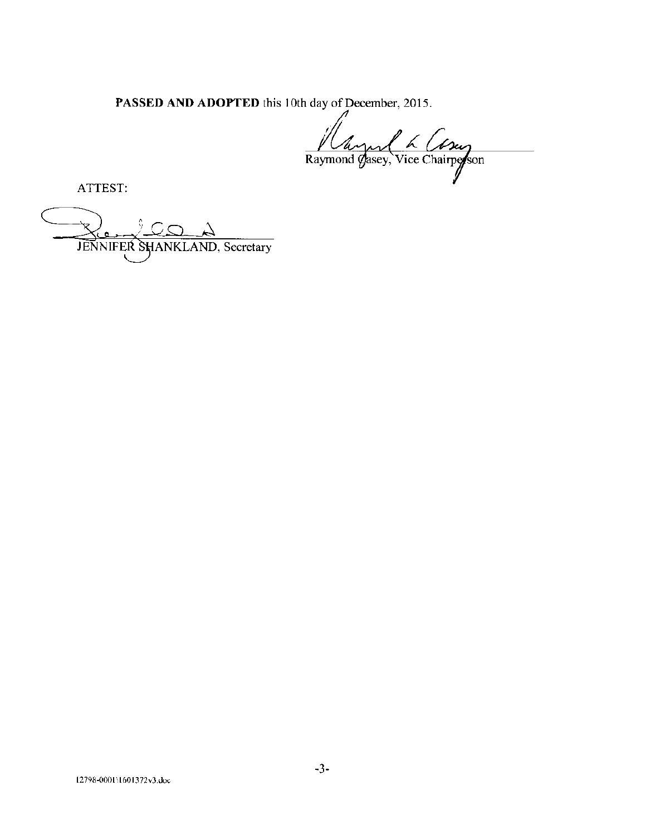PASSED AND ADOPTED this 10th day of December, 2015.

Vay 1 6 Compose

ATTEST:

JENNIFER SHANKLAND, Secretary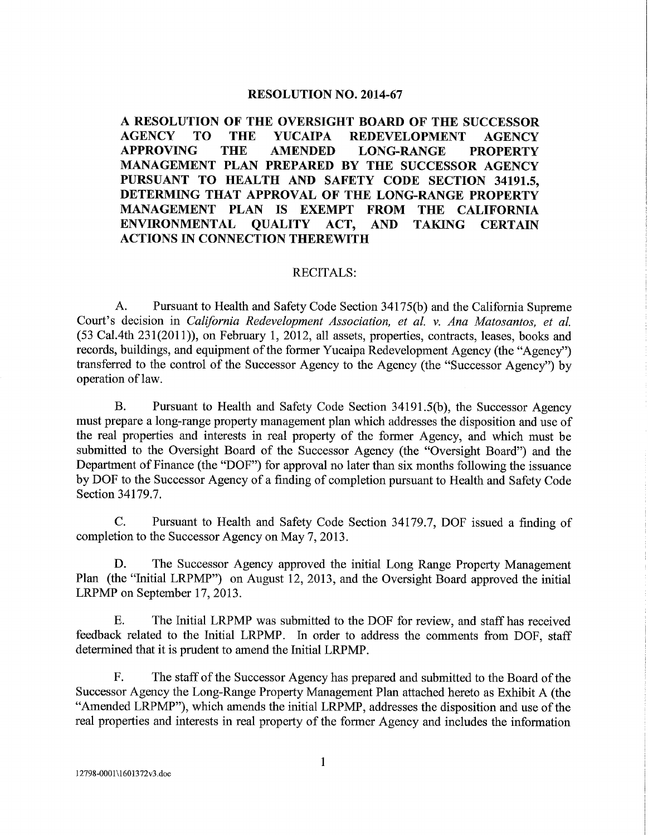### **RESOLUTION NO. 2014-67**

A RESOLUTION OF THE OVERSIGHT BOARD OF THE SUCCESSOR **AGENCY THE** TO. **YUCAIPA REDEVELOPMENT AGENCY APPROVING THE AMENDED LONG-RANGE PROPERTY** MANAGEMENT PLAN PREPARED BY THE SUCCESSOR AGENCY PURSUANT TO HEALTH AND SAFETY CODE SECTION 34191.5. DETERMING THAT APPROVAL OF THE LONG-RANGE PROPERTY MANAGEMENT PLAN IS EXEMPT FROM THE CALIFORNIA **ENVIRONMENTAL OUALITY** ACT. **AND TAKING CERTAIN ACTIONS IN CONNECTION THEREWITH** 

#### **RECITALS:**

 $A_{\cdot}$ Pursuant to Health and Safety Code Section 34175(b) and the California Supreme Court's decision in California Redevelopment Association, et al. v. Ana Matosantos, et al. (53 Cal.4th 231(2011)), on February 1, 2012, all assets, properties, contracts, leases, books and records, buildings, and equipment of the former Yucaipa Redevelopment Agency (the "Agency") transferred to the control of the Successor Agency to the Agency (the "Successor Agency") by operation of law.

Pursuant to Health and Safety Code Section 34191.5(b), the Successor Agency  $B.$ must prepare a long-range property management plan which addresses the disposition and use of the real properties and interests in real property of the former Agency, and which must be submitted to the Oversight Board of the Successor Agency (the "Oversight Board") and the Department of Finance (the "DOF") for approval no later than six months following the issuance by DOF to the Successor Agency of a finding of completion pursuant to Health and Safety Code Section 34179.7.

 $\mathbf{C}$ . Pursuant to Health and Safety Code Section 34179.7, DOF issued a finding of completion to the Successor Agency on May 7, 2013.

D. The Successor Agency approved the initial Long Range Property Management Plan (the "Initial LRPMP") on August 12, 2013, and the Oversight Board approved the initial LRPMP on September 17, 2013.

Ε. The Initial LRPMP was submitted to the DOF for review, and staff has received feedback related to the Initial LRPMP. In order to address the comments from DOF, staff determined that it is prudent to amend the Initial LRPMP.

 $F<sub>r</sub>$ The staff of the Successor Agency has prepared and submitted to the Board of the Successor Agency the Long-Range Property Management Plan attached hereto as Exhibit A (the "Amended LRPMP"), which amends the initial LRPMP, addresses the disposition and use of the real properties and interests in real property of the former Agency and includes the information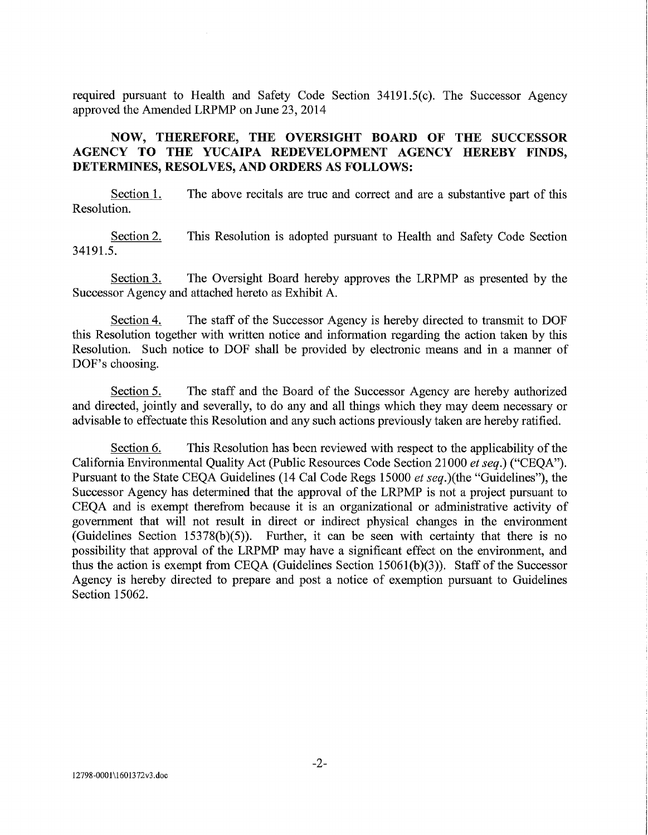required pursuant to Health and Safety Code Section 34191.5(c). The Successor Agency approved the Amended LRPMP on June 23, 2014

## NOW, THEREFORE, THE OVERSIGHT BOARD OF THE SUCCESSOR AGENCY TO THE YUCAIPA REDEVELOPMENT AGENCY HEREBY FINDS, DETERMINES, RESOLVES, AND ORDERS AS FOLLOWS:

Section 1. The above recitals are true and correct and are a substantive part of this Resolution.

This Resolution is adopted pursuant to Health and Safety Code Section Section 2. 34191.5.

The Oversight Board hereby approves the LRPMP as presented by the Section 3. Successor Agency and attached hereto as Exhibit A.

Section 4. The staff of the Successor Agency is hereby directed to transmit to DOF this Resolution together with written notice and information regarding the action taken by this Resolution. Such notice to DOF shall be provided by electronic means and in a manner of DOF's choosing.

The staff and the Board of the Successor Agency are hereby authorized Section 5. and directed, jointly and severally, to do any and all things which they may deem necessary or advisable to effectuate this Resolution and any such actions previously taken are hereby ratified.

Section 6. This Resolution has been reviewed with respect to the applicability of the California Environmental Quality Act (Public Resources Code Section 21000 et seq.) ("CEQA"). Pursuant to the State CEQA Guidelines (14 Cal Code Regs 15000 et seq.)(the "Guidelines"), the Successor Agency has determined that the approval of the LRPMP is not a project pursuant to CEOA and is exempt therefrom because it is an organizational or administrative activity of government that will not result in direct or indirect physical changes in the environment (Guidelines Section 15378(b)(5)). Further, it can be seen with certainty that there is no possibility that approval of the LRPMP may have a significant effect on the environment, and thus the action is exempt from CEQA (Guidelines Section  $15061(b)(3)$ ). Staff of the Successor Agency is hereby directed to prepare and post a notice of exemption pursuant to Guidelines Section 15062.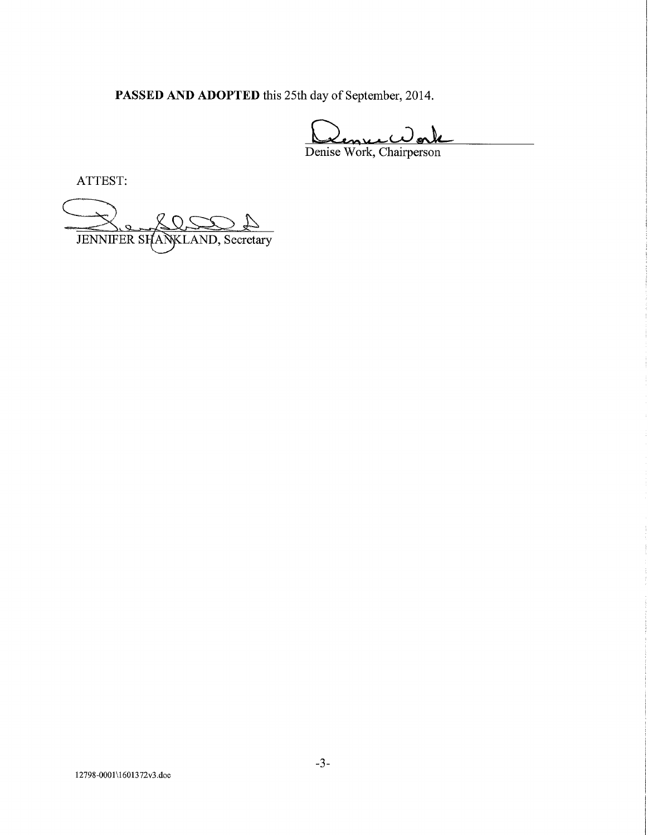PASSED AND ADOPTED this 25th day of September, 2014.

Denise Work, Chairperson

ATTEST:

JENNIFER SHANKLAND, Secretary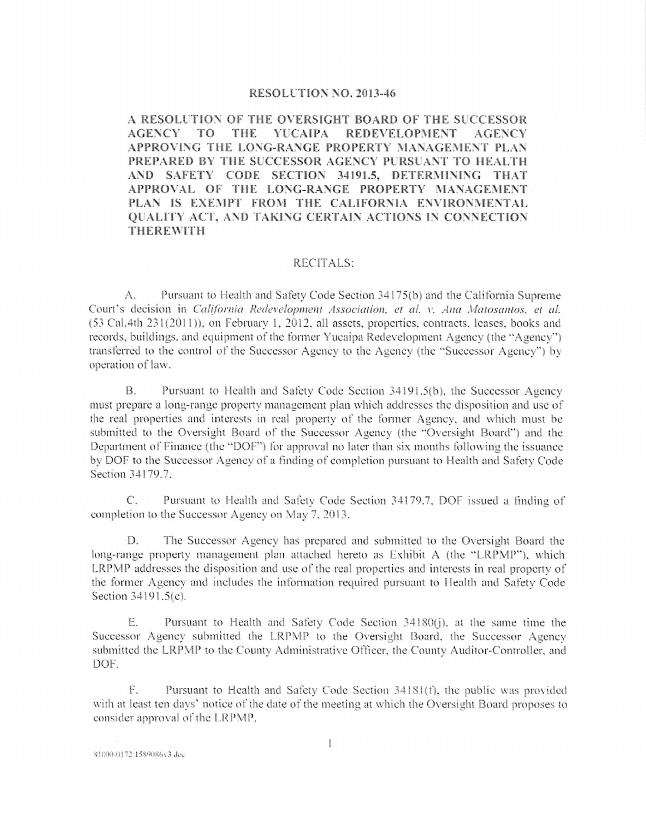#### RESOLUTION NO. 2013-46

A RESOLUTION OF THE OVERSIGHT BOARD OF THE SUCCESSOR **AGENCY** TO <sup>T</sup> THE **YUCAIPA REDEVELOPMENT AGENCY** APPROVING THE LONG-RANGE PROPERTY MANAGEMENT PLAN PREPARED BY THE SUCCESSOR AGENCY PURSUANT TO HEALTH AND SAFETY CODE SECTION 34191.5, DETERMINING THAT APPROVAL OF THE LONG-RANGE PROPERTY MANAGEMENT PLAN IS EXEMPT FROM THE CALIFORNIA ENVIRONMENTAL **OUALITY ACT, AND TAKING CERTAIN ACTIONS IN CONNECTION THEREWITH** 

## RECITALS:

Pursuant to Health and Safety Code Section 34175(b) and the California Supreme A. Court's decision in California Redevelopment Association, et al. v. Ana Matosantos, et al. (53 Cal.4th 231(2011)), on February 1, 2012, all assets, properties, contracts, leases, books and records, buildings, and equipment of the former Yucaipa Redevelopment Agency (the "Agency") transferred to the control of the Successor Agency to the Agency (the "Successor Agency") by operation of law.

**B.** Pursuant to Health and Safety Code Section 34191.5(b), the Successor Agency must prepare a long-range property management plan which addresses the disposition and use of the real properties and interests in real property of the former Agency, and which must be submitted to the Oversight Board of the Successor Agency (the "Oversight Board") and the Department of Finance (the "DOF") for approval no later than six months following the issuance by DOF to the Successor Agency of a finding of completion pursuant to Health and Safety Code Section 34179.7.

 $\mathcal{C}$ . Pursuant to Health and Safety Code Section 34179.7, DOF issued a finding of completion to the Successor Agency on May 7, 2013.

The Successor Agency has prepared and submitted to the Oversight Board the D. long-range property management plan attached hereto as Exhibit A (the "LRPMP"), which LRPMP addresses the disposition and use of the real properties and interests in real property of the former Agency and includes the information required pursuant to Health and Safety Code Section 34191.5(c).

Ε. Pursuant to Health and Safety Code Section 34180(j), at the same time the Successor Agency submitted the LRPMP to the Oversight Board, the Successor Agency submitted the LRPMP to the County Administrative Officer, the County Auditor-Controller, and DOF.

F. Pursuant to Health and Safety Code Section 34181(f), the public was provided with at least ten days' notice of the date of the meeting at which the Oversight Board proposes to consider approval of the LRPMP.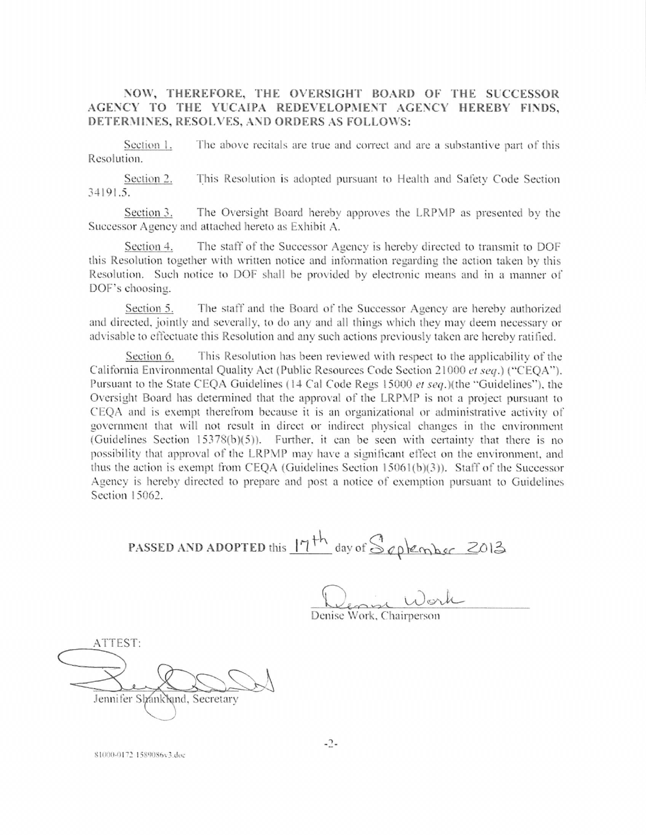NOW, THEREFORE, THE OVERSIGHT BOARD OF THE SUCCESSOR AGENCY TO THE YUCAIPA REDEVELOPMENT AGENCY HEREBY FINDS, DETERMINES, RESOLVES, AND ORDERS AS FOLLOWS:

The above recitals are true and correct and are a substantive part of this Section 1. Resolution.

Section 2. This Resolution is adopted pursuant to Health and Safety Code Section 34191.5.

Section 3. The Oversight Board hereby approves the LRPMP as presented by the Successor Agency and attached hereto as Exhibit A.

Section 4. The staff of the Successor Agency is hereby directed to transmit to DOF this Resolution together with written notice and information regarding the action taken by this Resolution. Such notice to DOF shall be provided by electronic means and in a manner of DOF's choosing.

Section 5. The staff and the Board of the Successor Agency are hereby authorized and directed, jointly and severally, to do any and all things which they may deem necessary or advisable to effectuate this Resolution and any such actions previously taken are hereby ratified.

This Resolution has been reviewed with respect to the applicability of the Section 6. California Environmental Quality Act (Public Resources Code Section 21000 et seq.) ("CEOA"). Pursuant to the State CEQA Guidelines (14 Cal Code Regs 15000 et seq.)(the "Guidelines"), the Oversight Board has determined that the approval of the LRPMP is not a project pursuant to CEQA and is exempt therefrom because it is an organizational or administrative activity of government that will not result in direct or indirect physical changes in the environment (Guidelines Section 15378(b)(5)). Further, it can be seen with certainty that there is no possibility that approval of the LRPMP may have a significant effect on the environment, and thus the action is exempt from CEQA (Guidelines Section 15061(b)(3)). Staff of the Successor Agency is hereby directed to prepare and post a notice of exemption pursuant to Guidelines Section 15062.

PASSED AND ADOPTED this  $17th$  day of September 2013

ATTEST: Jennifer Shankland, Secretary

81000-0172-1589086v3.doc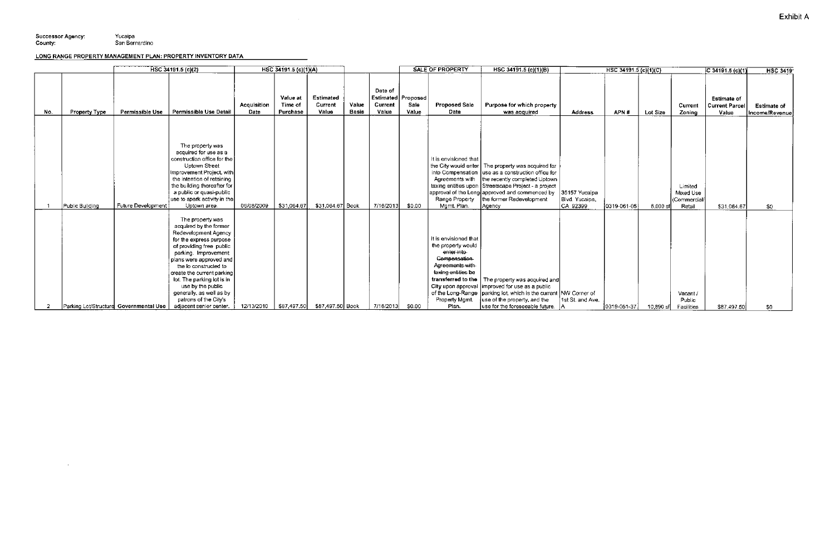$\sim 10^7$ 

# LONG RANGE PROPERTY MANAGEMENT PLAN: PROPERTY INVENTORY DATA

|     |                      | HSC 34191.5 (c)(2)                     |                                                                                                                                                                                                                                                                                                                                                                        | HSC 34191.5 (c)(1)(A) |                                 |                                      |                       | <b>SALE OF PROPERTY</b>                                  |               |                                                                                                                                                                     | HSC 34191.5 (c)(1)(B)                                                                                                                                                                                                                                                                                         |                                             | HSC 34191.5 (c)(1)(C) |             |                                                | $ C $ 34191.5 (c)(1)                                 | <b>HSC 3419</b>                      |
|-----|----------------------|----------------------------------------|------------------------------------------------------------------------------------------------------------------------------------------------------------------------------------------------------------------------------------------------------------------------------------------------------------------------------------------------------------------------|-----------------------|---------------------------------|--------------------------------------|-----------------------|----------------------------------------------------------|---------------|---------------------------------------------------------------------------------------------------------------------------------------------------------------------|---------------------------------------------------------------------------------------------------------------------------------------------------------------------------------------------------------------------------------------------------------------------------------------------------------------|---------------------------------------------|-----------------------|-------------|------------------------------------------------|------------------------------------------------------|--------------------------------------|
| No. | <b>Property Type</b> | Permissible Use                        | Permissible Use Detail                                                                                                                                                                                                                                                                                                                                                 | Acquisition<br>Date   | Value at<br>Time of<br>Purchase | <b>Estimated</b><br>Current<br>Value | Value<br><b>Basis</b> | Date of<br><b>Estimated Proposed</b><br>Current<br>Value | Sale<br>Value | <b>Proposed Sale</b><br>Date                                                                                                                                        | Purpose for which property<br>was acquired                                                                                                                                                                                                                                                                    | <b>Address</b>                              | APN#                  | Lot Size    | Current<br>Zoning                              | <b>Estimate of</b><br><b>Current Parcel</b><br>Value | <b>Estimate of</b><br>Income/Revenue |
|     | Public Building      | Future Development                     | The property was<br>acquired for use as a<br>construction office for the<br>Uptown Street<br>mprovement Project, with<br>the intention of retaining<br>the building thereafter for<br>a public or quasi-public<br>use to spark activity in the<br>Uptown area.                                                                                                         | 06/08/2009            | \$31,064.67                     | \$31,064.67 Book                     |                       | 7/16/2013                                                | \$0.00        | It is envisioned that<br>Range Property<br>Mgmt. Plan.                                                                                                              | the City would enter   The property was acquired for<br>into Compensation Juse as a construction office for<br>Agreements with the recently completed Uptown<br>taxing entities upon Streetscape Project - a project<br>approval of the Long approved and commenced by<br>the former Redevelopment<br> Agency | 35157 Yucalpa<br>Blvd. Yucaipa,<br>CA 92399 | 0319-061-05           | 6,000 sf    | Limited<br>Mixed Use<br>(Commercial/<br>Retail | \$31,064.67                                          | \$0                                  |
| -2  |                      | Parking Lot/Structure Governmental Use | The property was<br>acquired by the former<br>Redevelopment Agency<br>for the express purpose<br>of providing free public<br>parking. Improvement<br>plans were approved and<br>the io constructed to<br>create the current parking<br>lot. The parking lot is in<br>use by the public<br>generally, as well as by<br>patrons of the City's<br>adjacent senior center. | 12/13/2010            | \$87,497.50                     | \$87,497.50 Book                     |                       | 7/16/2013                                                | \$0.00        | it is envisioned that<br>the property would<br>enter into<br>Componsation<br>Agreements with<br>taxing entities be<br>transferred to the<br>Property Mgmt.<br>Plan. | The property was acquired and<br>City upon approval improved for use as a public<br>of the Long-Range   parking lot, which is the current   NW Corner of<br>use of the property, and the<br>use for the foreseeable future.                                                                                   | 1st St. and Ave.<br>IA.                     | 0319-051-37           | $10,890$ sf | Vacant /<br>Public<br>Facilities               | \$87,497.50                                          | \$0                                  |

 $\sim$